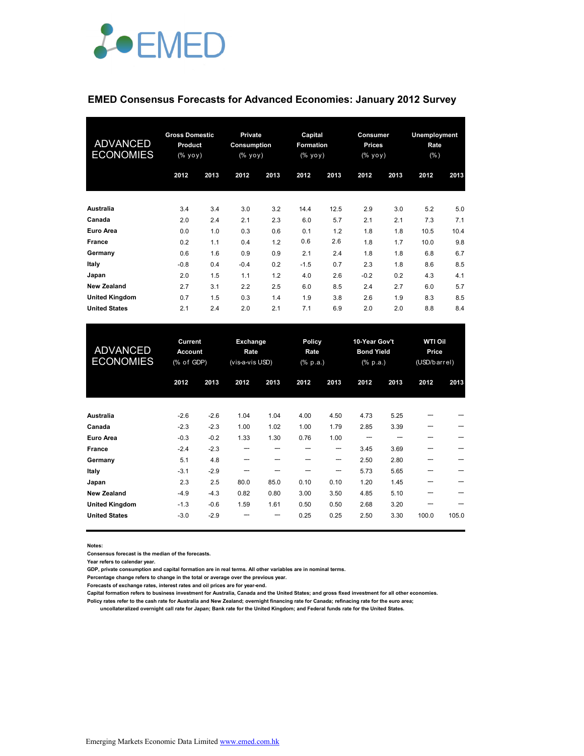

## **EMED Consensus Forecasts for Advanced Economies: January 2012 Survey**

| <b>ADVANCED</b><br><b>ECONOMIES</b> | <b>Gross Domestic</b><br><b>Product</b><br>(% yoy) |      | <b>Private</b><br>Consumption<br>(% уоу) |      | Capital<br><b>Formation</b><br>(% yoy) |      | Consumer<br><b>Prices</b><br>(% yoy) |      | <b>Unemployment</b><br>Rate<br>$(\% )$ |      |
|-------------------------------------|----------------------------------------------------|------|------------------------------------------|------|----------------------------------------|------|--------------------------------------|------|----------------------------------------|------|
|                                     | 2012                                               | 2013 | 2012                                     | 2013 | 2012                                   | 2013 | 2012                                 | 2013 | 2012                                   | 2013 |
| Australia                           | 3.4                                                | 3.4  | 3.0                                      | 3.2  | 14.4                                   | 12.5 | 2.9                                  | 3.0  | 5.2                                    | 5.0  |
| Canada                              | 2.0                                                | 2.4  | 2.1                                      | 2.3  | 6.0                                    | 5.7  | 2.1                                  | 2.1  | 7.3                                    | 7.1  |
| <b>Euro Area</b>                    | 0.0                                                | 1.0  | 0.3                                      | 0.6  | 0.1                                    | 1.2  | 1.8                                  | 1.8  | 10.5                                   | 10.4 |
| <b>France</b>                       | 0.2                                                | 1.1  | 0.4                                      | 1.2  | 0.6                                    | 2.6  | 1.8                                  | 1.7  | 10.0                                   | 9.8  |
| Germany                             | 0.6                                                | 1.6  | 0.9                                      | 0.9  | 2.1                                    | 2.4  | 1.8                                  | 1.8  | 6.8                                    | 6.7  |
| Italy                               | $-0.8$                                             | 0.4  | $-0.4$                                   | 0.2  | $-1.5$                                 | 0.7  | 2.3                                  | 1.8  | 8.6                                    | 8.5  |
| Japan                               | 2.0                                                | 1.5  | 1.1                                      | 1.2  | 4.0                                    | 2.6  | $-0.2$                               | 0.2  | 4.3                                    | 4.1  |
| <b>New Zealand</b>                  | 2.7                                                | 3.1  | 2.2                                      | 2.5  | 6.0                                    | 8.5  | 2.4                                  | 2.7  | 6.0                                    | 5.7  |
| <b>United Kingdom</b>               | 0.7                                                | 1.5  | 0.3                                      | 1.4  | 1.9                                    | 3.8  | 2.6                                  | 1.9  | 8.3                                    | 8.5  |
| <b>United States</b>                | 2.1                                                | 2.4  | 2.0                                      | 2.1  | 7.1                                    | 6.9  | 2.0                                  | 2.0  | 8.8                                    | 8.4  |

| <b>ADVANCED</b><br><b>ECONOMIES</b> | Current<br><b>Account</b><br>(% of GDP) |        | Exchange<br>Rate<br>(vis-a-vis USD) |      | Policy<br>Rate<br>$(% \mathbf{a})$ (% p.a.) |      | 10-Year Gov't<br><b>Bond Yield</b><br>$(% \mathbf{a})$ (% p.a.) |      | <b>WTI Oil</b><br>Price<br>(USD/barrel) |       |
|-------------------------------------|-----------------------------------------|--------|-------------------------------------|------|---------------------------------------------|------|-----------------------------------------------------------------|------|-----------------------------------------|-------|
|                                     | 2012                                    | 2013   | 2012                                | 2013 | 2012                                        | 2013 | 2012                                                            | 2013 | 2012                                    | 2013  |
| <b>Australia</b>                    | $-2.6$                                  | $-2.6$ | 1.04                                | 1.04 | 4.00                                        | 4.50 | 4.73                                                            | 5.25 |                                         |       |
| Canada                              | $-2.3$                                  | $-2.3$ | 1.00                                | 1.02 | 1.00                                        | 1.79 | 2.85                                                            | 3.39 | ---                                     |       |
| <b>Euro Area</b>                    | $-0.3$                                  | $-0.2$ | 1.33                                | 1.30 | 0.76                                        | 1.00 |                                                                 |      |                                         |       |
| <b>France</b>                       | $-2.4$                                  | $-2.3$ | ---                                 |      |                                             | ---  | 3.45                                                            | 3.69 |                                         |       |
| Germany                             | 5.1                                     | 4.8    | ---                                 |      |                                             | ---  | 2.50                                                            | 2.80 |                                         |       |
| Italy                               | $-3.1$                                  | $-2.9$ | ---                                 |      |                                             | ---  | 5.73                                                            | 5.65 |                                         |       |
| Japan                               | 2.3                                     | 2.5    | 80.0                                | 85.0 | 0.10                                        | 0.10 | 1.20                                                            | 1.45 |                                         |       |
| <b>New Zealand</b>                  | $-4.9$                                  | $-4.3$ | 0.82                                | 0.80 | 3.00                                        | 3.50 | 4.85                                                            | 5.10 |                                         |       |
| <b>United Kingdom</b>               | $-1.3$                                  | $-0.6$ | 1.59                                | 1.61 | 0.50                                        | 0.50 | 2.68                                                            | 3.20 |                                         |       |
| <b>United States</b>                | $-3.0$                                  | $-2.9$ |                                     |      | 0.25                                        | 0.25 | 2.50                                                            | 3.30 | 100.0                                   | 105.0 |

**Notes:** 

**Consensus forecast is the median of the forecasts.**

**Year refers to calendar year.**

**GDP, private consumption and capital formation are in real terms. All other variables are in nominal terms.**

**Percentage change refers to change in the total or average over the previous year.**

**Forecasts of exchange rates, interest rates and oil prices are for year-end.**

**Capital formation refers to business investment for Australia, Canada and the United States; and gross fixed investment for all other economies. Policy rates refer to the cash rate for Australia and New Zealand; overnight financing rate for Canada; refinacing rate for the euro area;** 

 **uncollateralized overnight call rate for Japan; Bank rate for the United Kingdom; and Federal funds rate for the United States.**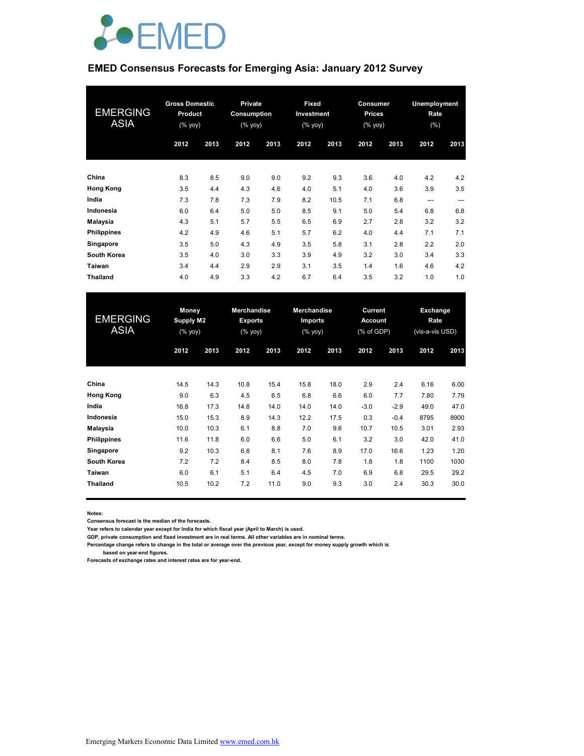

# **EMED Consensus Forecasts for Emerging Asia: January 2012 Survey**

| <b>EMERGING</b><br><b>ASIA</b> | <b>Gross Domestic</b><br><b>Product</b><br>(% yoy) |      | Private<br>Consumption<br>$(% \mathsf{Y}\cup \mathsf{Y})$ |      | Fixed<br>Investment<br>(% yoy) |      | <b>Consumer</b><br><b>Prices</b><br>(% yoy) |      | Unemployment<br>Rate<br>$(\% )$ |      |
|--------------------------------|----------------------------------------------------|------|-----------------------------------------------------------|------|--------------------------------|------|---------------------------------------------|------|---------------------------------|------|
|                                | 2012                                               | 2013 | 2012                                                      | 2013 | 2012                           | 2013 | 2012                                        | 2013 | 2012                            | 2013 |
| China                          | 8.3                                                | 8.5  | 9.0                                                       | 9.0  | 9.2                            | 9.3  | 3.6                                         | 4.0  | 4.2                             | 4.2  |
| <b>Hong Kong</b>               | 3.5                                                | 4.4  | 4.3                                                       | 4.6  | 4.0                            | 5.1  | 4.0                                         | 3.6  | 3.9                             | 3.5  |
| India                          | 7.3                                                | 7.8  | 7.3                                                       | 7.9  | 8.2                            | 10.5 | 7.1                                         | 6.8  | $---$                           | ---  |
| Indonesia                      | 6.0                                                | 6.4  | 5.0                                                       | 5.0  | 8.5                            | 9.1  | 5.0                                         | 5.4  | 6.8                             | 6.8  |
| Malaysia                       | 4.3                                                | 5.1  | 5.7                                                       | 5.5  | 6.5                            | 6.9  | 2.7                                         | 2.8  | 3.2                             | 3.2  |
| <b>Philippines</b>             | 4.2                                                | 4.9  | 4.6                                                       | 5.1  | 5.7                            | 6.2  | 4.0                                         | 4.4  | 7.1                             | 7.1  |
| Singapore                      | 3.5                                                | 5.0  | 4.3                                                       | 4.9  | 3.5                            | 5.8  | 3.1                                         | 2.8  | 2.2                             | 2.0  |
| South Korea                    | 3.5                                                | 4.0  | 3.0                                                       | 3.3  | 3.9                            | 4.9  | 3.2                                         | 3.0  | 3.4                             | 3.3  |
| Taiwan                         | 3.4                                                | 4.4  | 2.9                                                       | 2.9  | 3.1                            | 3.5  | 1.4                                         | 1.6  | 4.6                             | 4.2  |
| <b>Thailand</b>                | 4.0                                                | 4.9  | 3.3                                                       | 4.2  | 6.7                            | 6.4  | 3.5                                         | 3.2  | 1.0                             | 1.0  |

| <b>EMERGING</b><br><b>ASIA</b> | Money<br><b>Supply M2</b><br>(% yoy) |      | <b>Merchandise</b><br><b>Exports</b><br>(% yoy) |      | <b>Merchandise</b><br>Imports<br>(% yoy) |      | Current<br><b>Account</b><br>(% of GDP) |        | Exchange<br><b>Rate</b><br>(vis-a-vis USD) |      |
|--------------------------------|--------------------------------------|------|-------------------------------------------------|------|------------------------------------------|------|-----------------------------------------|--------|--------------------------------------------|------|
|                                | 2012                                 | 2013 | 2012                                            | 2013 | 2012                                     | 2013 | 2012                                    | 2013   | 2012                                       | 2013 |
| China                          | 14.5                                 | 14.3 | 10.8                                            | 15.4 | 15.8                                     | 18.0 | 2.9                                     | 2.4    | 6.16                                       | 6.00 |
| <b>Hong Kong</b>               | 9.0                                  | 6.3  | 4.5                                             | 6.5  | 6.8                                      | 6.6  | 6.0                                     | 7.7    | 7.80                                       | 7.79 |
| India                          | 16.8                                 | 17.3 | 14.8                                            | 14.0 | 14.0                                     | 14.0 | $-3.0$                                  | $-2.9$ | 49.0                                       | 47.0 |
| Indonesia                      | 15.0                                 | 15.3 | 8.9                                             | 14.3 | 12.2                                     | 17.5 | 0.3                                     | $-0.4$ | 8795                                       | 8900 |
| Malaysia                       | 10.0                                 | 10.3 | 6.1                                             | 8.8  | 7.0                                      | 9.6  | 10.7                                    | 10.5   | 3.01                                       | 2.93 |
| <b>Philippines</b>             | 11.6                                 | 11.8 | 6.0                                             | 6.6  | 5.0                                      | 6.1  | 3.2                                     | 3.0    | 42.0                                       | 41.0 |
| Singapore                      | 9.2                                  | 10.3 | 6.8                                             | 8.1  | 7.6                                      | 8.9  | 17.0                                    | 16.6   | 1.23                                       | 1.20 |
| <b>South Korea</b>             | 7.2                                  | 7.2  | 8.4                                             | 8.5  | 8.0                                      | 7.8  | 1.8                                     | 1.8    | 1100                                       | 1030 |
| Taiwan                         | 6.0                                  | 6.1  | 5.1                                             | 6.4  | 4.5                                      | 7.0  | 6.9                                     | 6.8    | 29.5                                       | 29.2 |
| <b>Thailand</b>                | 10.5                                 | 10.2 | 7.2                                             | 11.0 | 9.0                                      | 9.3  | 3.0                                     | 2.4    | 30.3                                       | 30.0 |

**Notes:** 

**Consensus forecast is the median of the forecasts.**

**Year refers to calendar year except for India for which fiscal year (April to March) is used.**

**GDP, private consumption and fixed investment are in real terms. All other variables are in nominal terms.**

**Percentage change refers to change in the total or average over the previous year, except for money supply growth which is** 

 **based on year-end figures.**

**Forecasts of exchange rates and interest rates are for year-end.**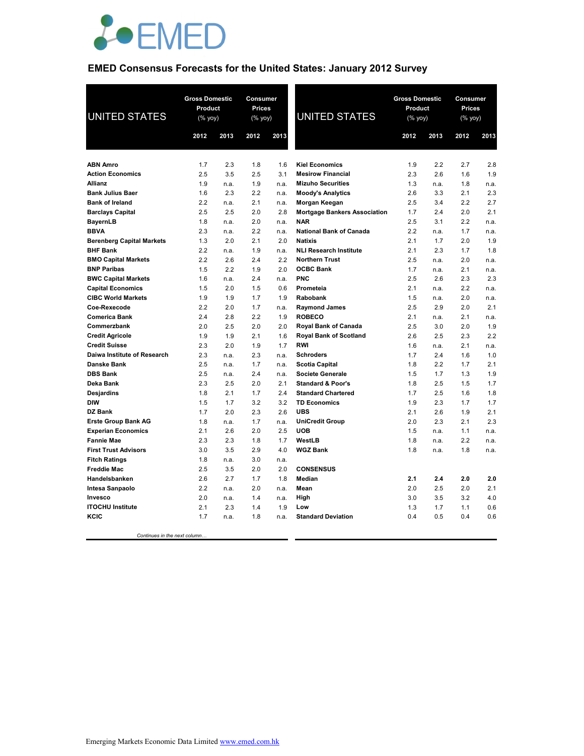

# **EMED Consensus Forecasts for the United States: January 2012 Survey**

| <b>UNITED STATES</b>                                | <b>Gross Domestic</b><br>Product<br>$(\%$ yoy) |             | Consumer<br><b>Prices</b><br>(% yoy) |              | <b>UNITED STATES</b>                                 | <b>Gross Domestic</b><br>Product<br>$(\%$ yoy) |             | Consumer<br><b>Prices</b><br>(% yoy) |             |
|-----------------------------------------------------|------------------------------------------------|-------------|--------------------------------------|--------------|------------------------------------------------------|------------------------------------------------|-------------|--------------------------------------|-------------|
|                                                     | 2012                                           | 2013        | 2012                                 | 2013         |                                                      | 2012                                           | 2013        | 2012                                 | 2013        |
|                                                     |                                                |             |                                      |              |                                                      |                                                |             |                                      |             |
| <b>ABN Amro</b>                                     | 1.7                                            | 2.3         | 1.8                                  | 1.6          | <b>Kiel Economics</b>                                | 1.9                                            | 2.2         | 2.7                                  | 2.8         |
| <b>Action Economics</b><br><b>Allianz</b>           | 2.5                                            | 3.5         | 2.5<br>1.9                           | 3.1          | <b>Mesirow Financial</b><br><b>Mizuho Securities</b> | 2.3                                            | 2.6         | 1.6                                  | 1.9         |
| <b>Bank Julius Baer</b>                             | 1.9<br>1.6                                     | n.a.<br>2.3 | 2.2                                  | n.a.<br>n.a. | <b>Moody's Analytics</b>                             | 1.3<br>2.6                                     | n.a.<br>3.3 | 1.8<br>2.1                           | n.a.<br>2.3 |
| <b>Bank of Ireland</b>                              | 2.2                                            | n.a.        | 2.1                                  | n.a.         | Morgan Keegan                                        | 2.5                                            | 3.4         | 2.2                                  | 2.7         |
| <b>Barclays Capital</b>                             | 2.5                                            | 2.5         | 2.0                                  | 2.8          | <b>Mortgage Bankers Association</b>                  | 1.7                                            | 2.4         | 2.0                                  | 2.1         |
| <b>BayernLB</b>                                     | 1.8                                            | n.a.        | 2.0                                  | n.a.         | <b>NAR</b>                                           | 2.5                                            | 3.1         | 2.2                                  | n.a.        |
| <b>BBVA</b>                                         | 2.3                                            | n.a.        | 2.2                                  | n.a.         | <b>National Bank of Canada</b>                       | 2.2                                            | n.a.        | 1.7                                  | n.a.        |
| <b>Berenberg Capital Markets</b>                    | 1.3                                            | 2.0         | 2.1                                  | 2.0          | <b>Natixis</b>                                       | 2.1                                            | 1.7         | 2.0                                  | 1.9         |
| <b>BHF Bank</b>                                     | 2.2                                            | n.a.        | 1.9                                  | n.a.         | <b>NLI Research Institute</b>                        | 2.1                                            | 2.3         | 1.7                                  | 1.8         |
| <b>BMO Capital Markets</b>                          | 2.2                                            | 2.6         | 2.4                                  | 2.2          | <b>Northern Trust</b>                                | 2.5                                            | n.a.        | 2.0                                  | n.a.        |
| <b>BNP Paribas</b>                                  | 1.5                                            | 2.2         | 1.9                                  | 2.0          | <b>OCBC Bank</b>                                     | 1.7                                            | n.a.        | 2.1                                  | n.a.        |
| <b>BWC Capital Markets</b>                          | 1.6                                            | n.a.        | 2.4                                  | n.a.         | <b>PNC</b>                                           | 2.5                                            | 2.6         | 2.3                                  | 2.3         |
| <b>Capital Economics</b>                            | 1.5                                            | 2.0         | 1.5                                  | 0.6          | Prometeia                                            | 2.1                                            | n.a.        | 2.2                                  | n.a.        |
| <b>CIBC World Markets</b>                           | 1.9                                            | 1.9         | 1.7                                  | 1.9          | Rabobank                                             | 1.5                                            | n.a.        | 2.0                                  | n.a.        |
| Coe-Rexecode                                        | 2.2                                            | 2.0         | 1.7                                  | n.a.         | <b>Raymond James</b>                                 | 2.5                                            | 2.9         | 2.0                                  | 2.1         |
| <b>Comerica Bank</b>                                | 2.4                                            | 2.8         | 2.2                                  | 1.9          | <b>ROBECO</b>                                        | 2.1                                            | n.a.        | 2.1                                  | n.a.        |
| Commerzbank                                         | 2.0                                            | 2.5         | 2.0                                  | 2.0          | Royal Bank of Canada                                 | 2.5                                            | 3.0         | 2.0                                  | 1.9         |
| <b>Credit Agricole</b>                              | 1.9                                            | 1.9         | 2.1                                  | 1.6          | <b>Royal Bank of Scotland</b>                        | 2.6                                            | 2.5         | 2.3                                  | 2.2         |
| <b>Credit Suisse</b>                                | 2.3                                            | 2.0         | 1.9                                  | 1.7          | <b>RWI</b>                                           | 1.6                                            | n.a.        | 2.1                                  | n.a.        |
| Daiwa Institute of Research                         | 2.3                                            | n.a.        | 2.3                                  | n.a.         | <b>Schroders</b>                                     | 1.7                                            | 2.4         | 1.6                                  | 1.0         |
| Danske Bank                                         | 2.5                                            | n.a.        | 1.7                                  | n.a.         | <b>Scotia Capital</b>                                | 1.8                                            | 2.2         | 1.7                                  | 2.1         |
| <b>DBS Bank</b>                                     | 2.5                                            | n.a.        | 2.4                                  | n.a.         | <b>Societe Generale</b>                              | 1.5                                            | 1.7         | 1.3                                  | 1.9         |
| Deka Bank                                           | 2.3                                            | 2.5         | 2.0                                  | 2.1          | <b>Standard &amp; Poor's</b>                         | 1.8                                            | 2.5         | 1.5                                  | 1.7         |
| Desjardins                                          | 1.8                                            | 2.1         | 1.7                                  | 2.4          | <b>Standard Chartered</b>                            | 1.7                                            | 2.5         | 1.6                                  | 1.8         |
| <b>DIW</b>                                          | 1.5                                            | 1.7         | 3.2                                  | 3.2          | <b>TD Economics</b>                                  | 1.9                                            | 2.3         | 1.7                                  | 1.7         |
| DZ Bank                                             | 1.7                                            | 2.0         | 2.3                                  | 2.6          | <b>UBS</b>                                           | 2.1                                            | 2.6         | 1.9                                  | 2.1         |
| <b>Erste Group Bank AG</b>                          | 1.8                                            | n.a.        | 1.7                                  | n.a.         | <b>UniCredit Group</b>                               | 2.0                                            | 2.3         | 2.1                                  | 2.3         |
| <b>Experian Economics</b>                           | 2.1                                            | 2.6         | 2.0                                  | 2.5          | <b>UOB</b>                                           | 1.5                                            | n.a.        | 1.1                                  | n.a.        |
| <b>Fannie Mae</b>                                   | 2.3                                            | 2.3<br>3.5  | 1.8<br>2.9                           | 1.7          | WestLB<br><b>WGZ Bank</b>                            | 1.8<br>1.8                                     | n.a.        | 2.2                                  | n.a.        |
| <b>First Trust Advisors</b><br><b>Fitch Ratings</b> | 3.0<br>1.8                                     | n.a.        | 3.0                                  | 4.0<br>n.a.  |                                                      |                                                | n.a.        | 1.8                                  | n.a.        |
| <b>Freddie Mac</b>                                  | 2.5                                            | 3.5         | 2.0                                  | 2.0          | <b>CONSENSUS</b>                                     |                                                |             |                                      |             |
| Handelsbanken                                       | 2.6                                            | 2.7         | 1.7                                  | 1.8          | Median                                               | 2.1                                            | 2.4         | 2.0                                  | 2.0         |
| Intesa Sanpaolo                                     | 2.2                                            | n.a.        | 2.0                                  | n.a.         | Mean                                                 | 2.0                                            | 2.5         | 2.0                                  | 2.1         |
| Invesco                                             | 2.0                                            | n.a.        | 1.4                                  | n.a.         | High                                                 | 3.0                                            | 3.5         | 3.2                                  | 4.0         |
| <b>ITOCHU Institute</b>                             | 2.1                                            | 2.3         | 1.4                                  | 1.9          | Low                                                  | 1.3                                            | 1.7         | 1.1                                  | 0.6         |
| KCIC                                                | 1.7                                            | n.a.        | 1.8                                  | n.a.         | <b>Standard Deviation</b>                            | 0.4                                            | 0.5         | 0.4                                  | 0.6         |
|                                                     |                                                |             |                                      |              |                                                      |                                                |             |                                      |             |
| Continues in the next column.                       |                                                |             |                                      |              |                                                      |                                                |             |                                      |             |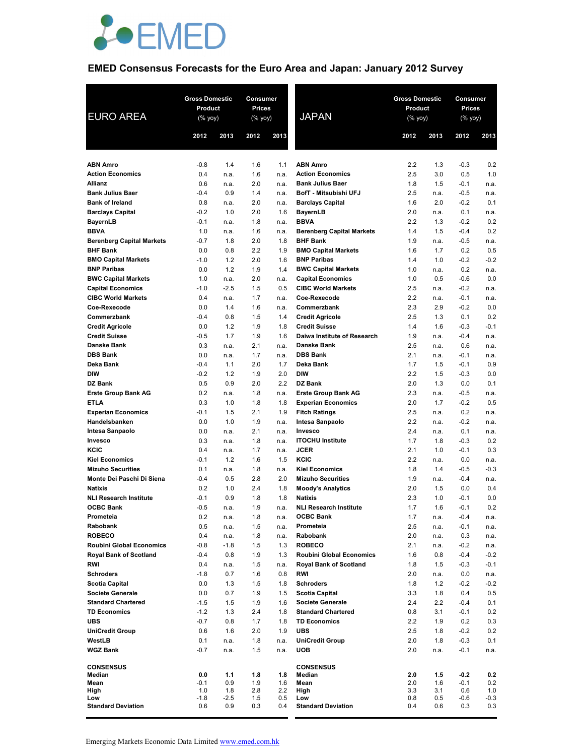

# **EMED Consensus Forecasts for the Euro Area and Japan: January 2012 Survey**

| <b>EURO AREA</b>                                       | <b>Gross Domestic</b><br>Product<br>(% yoy) |                | Consumer<br>Prices<br>(% yoy) |              | <b>JAPAN</b>                                          | <b>Gross Domestic</b><br>Product<br>(% yoy) | Consumer<br><b>Prices</b><br>$(%$ yoy) |                  |                |
|--------------------------------------------------------|---------------------------------------------|----------------|-------------------------------|--------------|-------------------------------------------------------|---------------------------------------------|----------------------------------------|------------------|----------------|
|                                                        | 2012                                        | 2013           | 2012                          | 2013         |                                                       | 2012                                        | 2013                                   | 2012             | 2013           |
|                                                        |                                             |                |                               |              |                                                       |                                             |                                        |                  |                |
| <b>ABN Amro</b>                                        | $-0.8$                                      | 1.4            | 1.6                           | 1.1          | <b>ABN Amro</b>                                       | 2.2                                         | 1.3                                    | $-0.3$           | 0.2            |
| <b>Action Economics</b><br><b>Allianz</b>              | 0.4                                         | n.a.           | 1.6<br>2.0                    | n.a.         | <b>Action Economics</b><br><b>Bank Julius Baer</b>    | 2.5<br>1.8                                  | 3.0                                    | 0.5              | 1.0            |
| <b>Bank Julius Baer</b>                                | 0.6<br>$-0.4$                               | n.a.<br>0.9    | 1.4                           | n.a.<br>n.a. | BofT - Mitsubishi UFJ                                 | 2.5                                         | 1.5<br>n.a.                            | $-0.1$<br>$-0.5$ | n.a.<br>n.a.   |
| <b>Bank of Ireland</b>                                 | 0.8                                         | n.a.           | 2.0                           | n.a.         | <b>Barclays Capital</b>                               | 1.6                                         | 2.0                                    | $-0.2$           | 0.1            |
| <b>Barclays Capital</b>                                | $-0.2$                                      | 1.0            | 2.0                           | 1.6          | <b>BayernLB</b>                                       | 2.0                                         | n.a.                                   | 0.1              | n.a.           |
| <b>BayernLB</b>                                        | $-0.1$                                      | n.a.           | 1.8                           | n.a.         | <b>BBVA</b>                                           | 2.2                                         | 1.3                                    | $-0.2$           | 0.2            |
| <b>BBVA</b>                                            | 1.0                                         | n.a.           | 1.6                           | n.a.         | <b>Berenberg Capital Markets</b>                      | 1.4                                         | 1.5                                    | $-0.4$           | 0.2            |
| <b>Berenberg Capital Markets</b>                       | $-0.7$                                      | 1.8            | 2.0                           | 1.8          | <b>BHF Bank</b>                                       | 1.9                                         | n.a.                                   | $-0.5$           | n.a.           |
| <b>BHF Bank</b>                                        | 0.0                                         | 0.8            | 2.2                           | 1.9          | <b>BMO Capital Markets</b>                            | 1.6                                         | 1.7                                    | 0.2              | 0.5            |
| <b>BMO Capital Markets</b>                             | $-1.0$                                      | 1.2            | 2.0                           | 1.6          | <b>BNP Paribas</b>                                    | 1.4                                         | 1.0                                    | $-0.2$           | $-0.2$         |
| <b>BNP Paribas</b>                                     | 0.0                                         | 1.2            | 1.9                           | 1.4          | <b>BWC Capital Markets</b>                            | 1.0                                         | n.a.                                   | 0.2              | n.a.           |
| <b>BWC Capital Markets</b><br><b>Capital Economics</b> | 1.0<br>$-1.0$                               | n.a.<br>$-2.5$ | 2.0<br>1.5                    | n.a.<br>0.5  | <b>Capital Economics</b><br><b>CIBC World Markets</b> | 1.0<br>2.5                                  | 0.5<br>n.a.                            | $-0.6$<br>$-0.2$ | 0.0            |
| <b>CIBC World Markets</b>                              | 0.4                                         | n.a.           | 1.7                           | n.a.         | Coe-Rexecode                                          | 2.2                                         | n.a.                                   | $-0.1$           | n.a.<br>n.a.   |
| Coe-Rexecode                                           | 0.0                                         | 1.4            | 1.6                           | n.a.         | Commerzbank                                           | 2.3                                         | 2.9                                    | $-0.2$           | 0.0            |
| Commerzbank                                            | $-0.4$                                      | 0.8            | 1.5                           | 1.4          | <b>Credit Agricole</b>                                | 2.5                                         | 1.3                                    | 0.1              | 0.2            |
| <b>Credit Agricole</b>                                 | 0.0                                         | 1.2            | 1.9                           | 1.8          | <b>Credit Suisse</b>                                  | 1.4                                         | 1.6                                    | $-0.3$           | $-0.1$         |
| <b>Credit Suisse</b>                                   | $-0.5$                                      | 1.7            | 1.9                           | 1.6          | Daiwa Institute of Research                           | 1.9                                         | n.a.                                   | $-0.4$           | n.a.           |
| <b>Danske Bank</b>                                     | 0.3                                         | n.a.           | 2.1                           | n.a.         | <b>Danske Bank</b>                                    | 2.5                                         | n.a.                                   | 0.6              | n.a.           |
| <b>DBS Bank</b>                                        | 0.0                                         | n.a.           | 1.7                           | n.a.         | <b>DBS Bank</b>                                       | 2.1                                         | n.a.                                   | $-0.1$           | n.a.           |
| Deka Bank                                              | $-0.4$                                      | 1.1            | 2.0                           | 1.7          | Deka Bank                                             | 1.7                                         | 1.5                                    | $-0.1$           | 0.9            |
| <b>DIW</b><br><b>DZ Bank</b>                           | $-0.2$<br>0.5                               | 1.2<br>0.9     | 1.9<br>2.0                    | 2.0<br>2.2   | <b>DIW</b><br>DZ Bank                                 | 2.2<br>2.0                                  | 1.5<br>1.3                             | $-0.3$<br>0.0    | 0.0<br>0.1     |
| <b>Erste Group Bank AG</b>                             | 0.2                                         | n.a.           | 1.8                           | n.a.         | <b>Erste Group Bank AG</b>                            | 2.3                                         | n.a.                                   | $-0.5$           | n.a.           |
| <b>ETLA</b>                                            | 0.3                                         | 1.0            | 1.8                           | 1.8          | <b>Experian Economics</b>                             | 2.0                                         | 1.7                                    | $-0.2$           | 0.5            |
| <b>Experian Economics</b>                              | $-0.1$                                      | 1.5            | 2.1                           | 1.9          | <b>Fitch Ratings</b>                                  | 2.5                                         | n.a.                                   | 0.2              | n.a.           |
| Handelsbanken                                          | 0.0                                         | 1.0            | 1.9                           | n.a.         | Intesa Sanpaolo                                       | 2.2                                         | n.a.                                   | $-0.2$           | n.a.           |
| <b>Intesa Sanpaolo</b>                                 | 0.0                                         | n.a.           | 2.1                           | n.a.         | Invesco                                               | 2.4                                         | n.a.                                   | 0.1              | n.a.           |
| Invesco                                                | 0.3                                         | n.a.           | 1.8                           | n.a.         | <b>ITOCHU Institute</b>                               | 1.7                                         | 1.8                                    | $-0.3$           | 0.2            |
| KCIC                                                   | 0.4                                         | n.a.           | 1.7                           | n.a.         | <b>JCER</b><br>KCIC                                   | 2.1                                         | 1.0                                    | $-0.1$           | 0.3            |
| <b>Kiel Economics</b><br><b>Mizuho Securities</b>      | $-0.1$<br>0.1                               | 1.2<br>n.a.    | 1.6<br>1.8                    | 1.5<br>n.a.  | <b>Kiel Economics</b>                                 | 2.2<br>1.8                                  | n.a.<br>1.4                            | 0.0<br>$-0.5$    | n.a.<br>$-0.3$ |
| Monte Dei Paschi Di Siena                              | $-0.4$                                      | 0.5            | 2.8                           | 2.0          | <b>Mizuho Securities</b>                              | 1.9                                         | n.a.                                   | $-0.4$           | n.a.           |
| <b>Natixis</b>                                         | 0.2                                         | 1.0            | 2.4                           | 1.8          | <b>Moody's Analytics</b>                              | 2.0                                         | 1.5                                    | 0.0              | 0.4            |
| <b>NLI Research Institute</b>                          | $-0.1$                                      | 0.9            | 1.8                           | 1.8          | <b>Natixis</b>                                        | 2.3                                         | 1.0                                    | $-0.1$           | 0.0            |
| <b>OCBC Bank</b>                                       | $-0.5$                                      | n.a.           | 1.9                           | n.a.         | <b>NLI Research Institute</b>                         | 1.7                                         | 1.6                                    | $-0.1$           | 0.2            |
| Prometeia                                              | 0.2                                         | n.a.           | 1.8                           | n.a.         | <b>OCBC Bank</b>                                      | 1.7                                         | n.a.                                   | $-0.4$           | n.a.           |
| Rabobank                                               | 0.5                                         | n.a.           | 1.5                           | n.a.         | Prometeia                                             | 2.5                                         | n.a.                                   | $-0.1$           | n.a.           |
| <b>ROBECO</b><br><b>Roubini Global Economics</b>       | 0.4<br>$-0.8$                               | n.a.<br>$-1.8$ | 1.8<br>1.5                    | n.a.<br>1.3  | Rabobank<br><b>ROBECO</b>                             | 2.0<br>2.1                                  | n.a.                                   | 0.3<br>$-0.2$    | n.a.           |
| <b>Royal Bank of Scotland</b>                          | $-0.4$                                      | 0.8            | 1.9                           | 1.3          | <b>Roubini Global Economics</b>                       | 1.6                                         | n.a.<br>0.8                            | $-0.4$           | n.a.<br>$-0.2$ |
| RWI                                                    | 0.4                                         | n.a.           | 1.5                           | n.a.         | <b>Royal Bank of Scotland</b>                         | 1.8                                         | 1.5                                    | $-0.3$           | -0.1           |
| <b>Schroders</b>                                       | $-1.8$                                      | 0.7            | 1.6                           | 0.8          | RWI                                                   | 2.0                                         | n.a.                                   | 0.0              | n.a.           |
| <b>Scotia Capital</b>                                  | 0.0                                         | 1.3            | 1.5                           | 1.8          | <b>Schroders</b>                                      | 1.8                                         | 1.2                                    | $-0.2$           | $-0.2$         |
| <b>Societe Generale</b>                                | 0.0                                         | 0.7            | 1.9                           | 1.5          | <b>Scotia Capital</b>                                 | 3.3                                         | 1.8                                    | 0.4              | 0.5            |
| <b>Standard Chartered</b>                              | $-1.5$                                      | 1.5            | 1.9                           | 1.6          | <b>Societe Generale</b>                               | 2.4                                         | 2.2                                    | $-0.4$           | 0.1            |
| <b>TD Economics</b>                                    | $-1.2$                                      | 1.3            | 2.4                           | 1.8          | <b>Standard Chartered</b>                             | 0.8                                         | 3.1                                    | $-0.1$           | 0.2            |
| <b>UBS</b><br><b>UniCredit Group</b>                   | $-0.7$<br>0.6                               | 0.8<br>1.6     | 1.7<br>2.0                    | 1.8<br>1.9   | <b>TD Economics</b><br><b>UBS</b>                     | 2.2<br>2.5                                  | 1.9<br>1.8                             | 0.2<br>$-0.2$    | 0.3<br>0.2     |
| WestLB                                                 | 0.1                                         | n.a.           | 1.8                           | n.a.         | <b>UniCredit Group</b>                                | 2.0                                         | 1.8                                    | $-0.3$           | 0.1            |
| <b>WGZ Bank</b>                                        | $-0.7$                                      | n.a.           | 1.5                           | n.a.         | <b>UOB</b>                                            | 2.0                                         | n.a.                                   | $-0.1$           | n.a.           |
| <b>CONSENSUS</b>                                       |                                             |                |                               |              | <b>CONSENSUS</b>                                      |                                             |                                        |                  |                |
| Median                                                 | 0.0                                         | 1.1            | 1.8                           | 1.8          | Median                                                | 2.0                                         | 1.5                                    | $-0.2$           | 0.2            |
| Mean<br>High                                           | -0.1<br>1.0                                 | 0.9<br>1.8     | 1.9<br>2.8                    | 1.6<br>2.2   | Mean<br>High                                          | 2.0<br>3.3                                  | 1.6<br>3.1                             | $-0.1$<br>0.6    | 0.2<br>1.0     |
| Low                                                    | $-1.8$                                      | $-2.5$         | 1.5                           | 0.5          | Low                                                   | 0.8                                         | 0.5                                    | $-0.6$           | -0.3           |
| <b>Standard Deviation</b>                              | 0.6                                         | 0.9            | 0.3                           | 0.4          | <b>Standard Deviation</b>                             | 0.4                                         | 0.6                                    | 0.3              | 0.3            |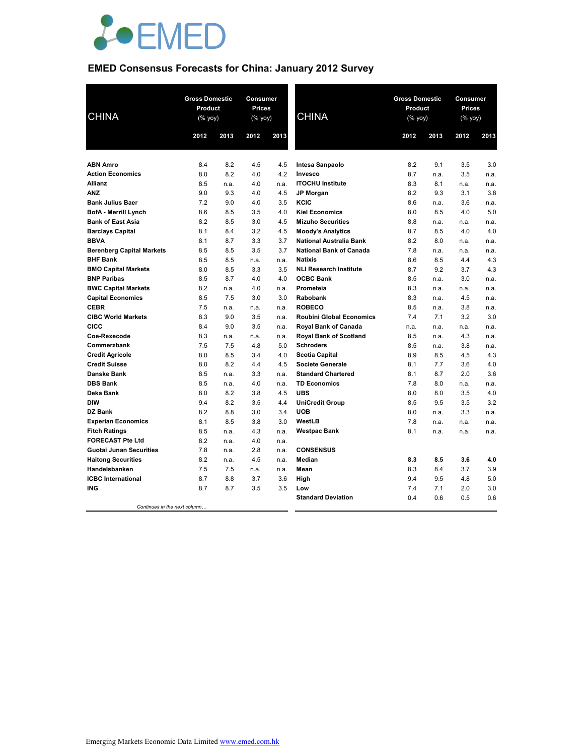

# **EMED Consensus Forecasts for China: January 2012 Survey**

| <b>CHINA</b>                                        | <b>Gross Domestic</b><br>Product<br>(% yoy) |            | Consumer<br>Prices<br>(% yoy) |            | <b>CHINA</b>                                                     | <b>Gross Domestic</b><br>Product<br>(% yoy) |             | Consumer<br>Prices<br>(% yoy) |             |
|-----------------------------------------------------|---------------------------------------------|------------|-------------------------------|------------|------------------------------------------------------------------|---------------------------------------------|-------------|-------------------------------|-------------|
|                                                     | 2012                                        | 2013       | 2012                          | 2013       |                                                                  | 2012                                        | 2013        | 2012                          | 2013        |
|                                                     |                                             |            |                               |            |                                                                  |                                             |             |                               |             |
| <b>ABN Amro</b>                                     | 8.4                                         | 8.2        | 4.5                           | 4.5        | Intesa Sanpaolo                                                  | 8.2                                         | 9.1         | 3.5                           | 3.0         |
| <b>Action Economics</b>                             | 8.0                                         | 8.2        | 4.0                           | 4.2        | Invesco                                                          | 8.7                                         | n.a.        | 3.5                           | n.a.        |
| <b>Allianz</b>                                      | 8.5                                         | n.a.       | 4.0                           | n.a.       | <b>ITOCHU Institute</b>                                          | 8.3                                         | 8.1         | n.a.                          | n.a.        |
| <b>ANZ</b>                                          | 9.0                                         | 9.3        | 4.0                           | 4.5        | <b>JP Morgan</b>                                                 | 8.2                                         | 9.3         | 3.1                           | 3.8         |
| <b>Bank Julius Baer</b>                             | 7.2                                         | 9.0        | 4.0                           | 3.5        | KCIC                                                             | 8.6                                         | n.a.        | 3.6                           | n.a.        |
| <b>BofA - Merrill Lynch</b>                         | 8.6                                         | 8.5        | 3.5                           | 4.0        | <b>Kiel Economics</b>                                            | 8.0                                         | 8.5         | 4.0                           | 5.0         |
| <b>Bank of East Asia</b>                            | 8.2                                         | 8.5        | 3.0                           | 4.5        | <b>Mizuho Securities</b>                                         | 8.8                                         | n.a.        | n.a.                          | n.a.        |
| <b>Barclays Capital</b><br><b>BBVA</b>              | 8.1<br>8.1                                  | 8.4        | 3.2<br>3.3                    | 4.5<br>3.7 | <b>Moody's Analytics</b>                                         | 8.7<br>8.2                                  | 8.5<br>8.0  | 4.0                           | 4.0         |
|                                                     | 8.5                                         | 8.7<br>8.5 | 3.5                           | 3.7        | <b>National Australia Bank</b><br><b>National Bank of Canada</b> | 7.8                                         |             | n.a.                          | n.a.        |
| <b>Berenberg Capital Markets</b><br><b>BHF Bank</b> | 8.5                                         | 8.5        | n.a.                          | n.a.       | <b>Natixis</b>                                                   | 8.6                                         | n.a.<br>8.5 | n.a.<br>4.4                   | n.a.<br>4.3 |
| <b>BMO Capital Markets</b>                          | 8.0                                         | 8.5        | 3.3                           | 3.5        | <b>NLI Research Institute</b>                                    | 8.7                                         | 9.2         | 3.7                           | 4.3         |
| <b>BNP Paribas</b>                                  | 8.5                                         | 8.7        | 4.0                           | 4.0        | <b>OCBC Bank</b>                                                 | 8.5                                         | n.a.        | 3.0                           | n.a.        |
| <b>BWC Capital Markets</b>                          | 8.2                                         | n.a.       | 4.0                           | n.a.       | Prometeia                                                        | 8.3                                         | n.a.        | n.a.                          | n.a.        |
| <b>Capital Economics</b>                            | 8.5                                         | 7.5        | 3.0                           | 3.0        | <b>Rabobank</b>                                                  | 8.3                                         | n.a.        | 4.5                           | n.a.        |
| <b>CEBR</b>                                         | 7.5                                         | n.a.       | n.a.                          | n.a.       | <b>ROBECO</b>                                                    | 8.5                                         | n.a.        | 3.8                           | n.a.        |
| <b>CIBC World Markets</b>                           | 8.3                                         | 9.0        | 3.5                           | n.a.       | <b>Roubini Global Economics</b>                                  | 7.4                                         | 7.1         | 3.2                           | 3.0         |
| <b>CICC</b>                                         | 8.4                                         | 9.0        | 3.5                           | n.a.       | Royal Bank of Canada                                             | n.a.                                        | n.a.        | n.a.                          | n.a.        |
| Coe-Rexecode                                        | 8.3                                         | n.a.       | n.a.                          | n.a.       | <b>Royal Bank of Scotland</b>                                    | 8.5                                         | n.a.        | 4.3                           | n.a.        |
| Commerzbank                                         | 7.5                                         | 7.5        | 4.8                           | 5.0        | <b>Schroders</b>                                                 | 8.5                                         | n.a.        | 3.8                           | n.a.        |
| <b>Credit Agricole</b>                              | 8.0                                         | 8.5        | 3.4                           | 4.0        | <b>Scotia Capital</b>                                            | 8.9                                         | 8.5         | 4.5                           | 4.3         |
| <b>Credit Suisse</b>                                | 8.0                                         | 8.2        | 4.4                           | 4.5        | <b>Societe Generale</b>                                          | 8.1                                         | 7.7         | 3.6                           | 4.0         |
| <b>Danske Bank</b>                                  | 8.5                                         | n.a.       | 3.3                           | n.a.       | <b>Standard Chartered</b>                                        | 8.1                                         | 8.7         | 2.0                           | 3.6         |
| <b>DBS Bank</b>                                     | 8.5                                         | n.a.       | 4.0                           | n.a.       | <b>TD Economics</b>                                              | 7.8                                         | 8.0         | n.a.                          | n.a.        |
| Deka Bank                                           | 8.0                                         | 8.2        | 3.8                           | 4.5        | <b>UBS</b>                                                       | 8.0                                         | 8.0         | 3.5                           | 4.0         |
| <b>DIW</b>                                          | 9.4                                         | 8.2        | 3.5                           | 4.4        | <b>UniCredit Group</b>                                           | 8.5                                         | 9.5         | 3.5                           | 3.2         |
| DZ Bank                                             | 8.2                                         | 8.8        | 3.0                           | 3.4        | <b>UOB</b>                                                       | 8.0                                         | n.a.        | 3.3                           | n.a.        |
| <b>Experian Economics</b>                           | 8.1                                         | 8.5        | 3.8                           | 3.0        | WestLB                                                           | 7.8                                         | n.a.        | n.a.                          | n.a.        |
| <b>Fitch Ratings</b>                                | 8.5                                         | n.a.       | 4.3                           | n.a.       | <b>Westpac Bank</b>                                              | 8.1                                         | n.a.        | n.a.                          | n.a.        |
| <b>FORECAST Pte Ltd</b>                             | 8.2                                         | n.a.       | 4.0                           | n.a.       |                                                                  |                                             |             |                               |             |
| <b>Guotai Junan Securities</b>                      | 7.8                                         | n.a.       | 2.8                           | n.a.       | <b>CONSENSUS</b>                                                 |                                             |             |                               |             |
| <b>Haitong Securities</b>                           | 8.2                                         | n.a.       | 4.5                           | n.a.       | Median                                                           | 8.3                                         | 8.5         | 3.6                           | 4.0         |
| Handelsbanken                                       | 7.5                                         | 7.5        | n.a.                          | n.a.       | Mean                                                             | 8.3                                         | 8.4         | 3.7                           | 3.9         |
| <b>ICBC</b> International                           | 8.7                                         | 8.8        | 3.7                           | 3.6        | High                                                             | 9.4                                         | 9.5         | 4.8                           | 5.0         |
| <b>ING</b>                                          | 8.7                                         | 8.7        | 3.5                           | 3.5        | Low                                                              | 7.4                                         | 7.1         | 2.0                           | 3.0         |
|                                                     |                                             |            |                               |            | <b>Standard Deviation</b>                                        | 0.4                                         | 0.6         | 0.5                           | 0.6         |
| Continues in the next column                        |                                             |            |                               |            |                                                                  |                                             |             |                               |             |